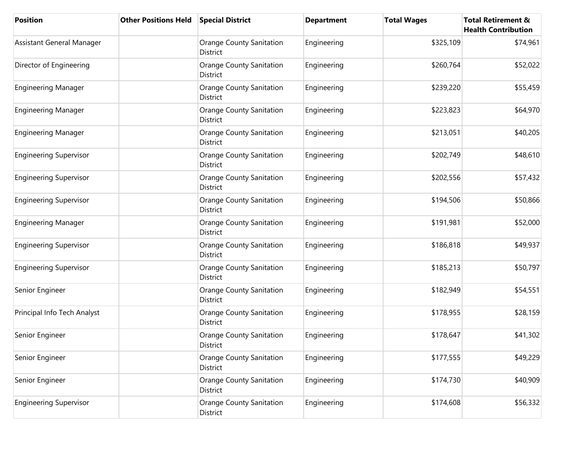| <b>Position</b>               | <b>Other Positions Held</b> | <b>Special District</b>                     | <b>Department</b> | <b>Total Wages</b> | <b>Total Retirement &amp;</b><br><b>Health Contribution</b> |
|-------------------------------|-----------------------------|---------------------------------------------|-------------------|--------------------|-------------------------------------------------------------|
| Assistant General Manager     |                             | <b>Orange County Sanitation</b><br>District | Engineering       | \$325,109          | \$74,961                                                    |
| Director of Engineering       |                             | <b>Orange County Sanitation</b><br>District | Engineering       | \$260,764          | \$52,022                                                    |
| <b>Engineering Manager</b>    |                             | <b>Orange County Sanitation</b><br>District | Engineering       | \$239,220          | \$55,459                                                    |
| <b>Engineering Manager</b>    |                             | <b>Orange County Sanitation</b><br>District | Engineering       | \$223,823          | \$64,970                                                    |
| <b>Engineering Manager</b>    |                             | <b>Orange County Sanitation</b><br>District | Engineering       | \$213,051          | \$40,205                                                    |
| <b>Engineering Supervisor</b> |                             | <b>Orange County Sanitation</b><br>District | Engineering       | \$202,749          | \$48,610                                                    |
| <b>Engineering Supervisor</b> |                             | <b>Orange County Sanitation</b><br>District | Engineering       | \$202,556          | \$57,432                                                    |
| <b>Engineering Supervisor</b> |                             | <b>Orange County Sanitation</b><br>District | Engineering       | \$194,506          | \$50,866                                                    |
| <b>Engineering Manager</b>    |                             | <b>Orange County Sanitation</b><br>District | Engineering       | \$191,981          | \$52,000                                                    |
| <b>Engineering Supervisor</b> |                             | <b>Orange County Sanitation</b><br>District | Engineering       | \$186,818          | \$49,937                                                    |
| <b>Engineering Supervisor</b> |                             | <b>Orange County Sanitation</b><br>District | Engineering       | \$185,213          | \$50,797                                                    |
| Senior Engineer               |                             | <b>Orange County Sanitation</b><br>District | Engineering       | \$182,949          | \$54,551                                                    |
| Principal Info Tech Analyst   |                             | <b>Orange County Sanitation</b><br>District | Engineering       | \$178,955          | \$28,159                                                    |
| Senior Engineer               |                             | <b>Orange County Sanitation</b><br>District | Engineering       | \$178,647          | \$41,302                                                    |
| Senior Engineer               |                             | <b>Orange County Sanitation</b><br>District | Engineering       | \$177,555          | \$49,229                                                    |
| Senior Engineer               |                             | <b>Orange County Sanitation</b><br>District | Engineering       | \$174,730          | \$40,909                                                    |
| <b>Engineering Supervisor</b> |                             | <b>Orange County Sanitation</b><br>District | Engineering       | \$174,608          | \$56,332                                                    |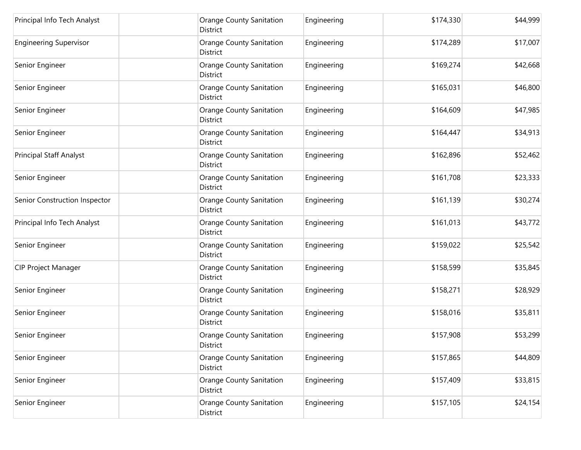| Principal Info Tech Analyst    | <b>Orange County Sanitation</b><br>District | Engineering | \$174,330 | \$44,999 |
|--------------------------------|---------------------------------------------|-------------|-----------|----------|
| <b>Engineering Supervisor</b>  | <b>Orange County Sanitation</b><br>District | Engineering | \$174,289 | \$17,007 |
| Senior Engineer                | <b>Orange County Sanitation</b><br>District | Engineering | \$169,274 | \$42,668 |
| Senior Engineer                | <b>Orange County Sanitation</b><br>District | Engineering | \$165,031 | \$46,800 |
| Senior Engineer                | <b>Orange County Sanitation</b><br>District | Engineering | \$164,609 | \$47,985 |
| Senior Engineer                | <b>Orange County Sanitation</b><br>District | Engineering | \$164,447 | \$34,913 |
| <b>Principal Staff Analyst</b> | <b>Orange County Sanitation</b><br>District | Engineering | \$162,896 | \$52,462 |
| Senior Engineer                | <b>Orange County Sanitation</b><br>District | Engineering | \$161,708 | \$23,333 |
| Senior Construction Inspector  | <b>Orange County Sanitation</b><br>District | Engineering | \$161,139 | \$30,274 |
| Principal Info Tech Analyst    | <b>Orange County Sanitation</b><br>District | Engineering | \$161,013 | \$43,772 |
| Senior Engineer                | <b>Orange County Sanitation</b><br>District | Engineering | \$159,022 | \$25,542 |
| <b>CIP Project Manager</b>     | <b>Orange County Sanitation</b><br>District | Engineering | \$158,599 | \$35,845 |
| Senior Engineer                | <b>Orange County Sanitation</b><br>District | Engineering | \$158,271 | \$28,929 |
| Senior Engineer                | <b>Orange County Sanitation</b><br>District | Engineering | \$158,016 | \$35,811 |
| Senior Engineer                | <b>Orange County Sanitation</b><br>District | Engineering | \$157,908 | \$53,299 |
| Senior Engineer                | <b>Orange County Sanitation</b><br>District | Engineering | \$157,865 | \$44,809 |
| Senior Engineer                | <b>Orange County Sanitation</b><br>District | Engineering | \$157,409 | \$33,815 |
| Senior Engineer                | <b>Orange County Sanitation</b><br>District | Engineering | \$157,105 | \$24,154 |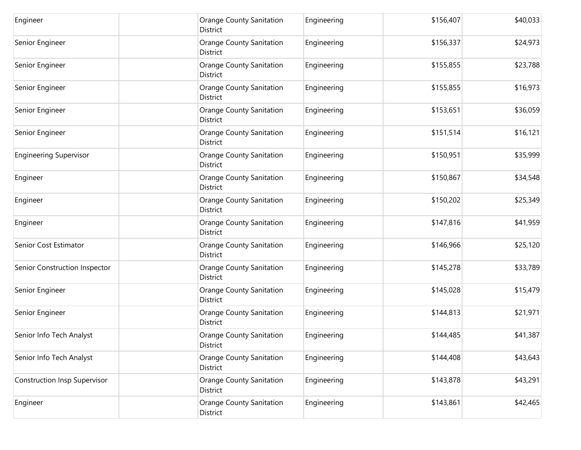| Engineer                            | <b>Orange County Sanitation</b><br>District | Engineering | \$156,407 | \$40,033 |
|-------------------------------------|---------------------------------------------|-------------|-----------|----------|
| Senior Engineer                     | Orange County Sanitation<br>District        | Engineering | \$156,337 | \$24,973 |
| Senior Engineer                     | Orange County Sanitation<br>District        | Engineering | \$155,855 | \$23,788 |
| Senior Engineer                     | Orange County Sanitation<br>District        | Engineering | \$155,855 | \$16,973 |
| Senior Engineer                     | <b>Orange County Sanitation</b><br>District | Engineering | \$153,651 | \$36,059 |
| Senior Engineer                     | <b>Orange County Sanitation</b><br>District | Engineering | \$151,514 | \$16,121 |
| <b>Engineering Supervisor</b>       | <b>Orange County Sanitation</b><br>District | Engineering | \$150,951 | \$35,999 |
| Engineer                            | <b>Orange County Sanitation</b><br>District | Engineering | \$150,867 | \$34,548 |
| Engineer                            | <b>Orange County Sanitation</b><br>District | Engineering | \$150,202 | \$25,349 |
| Engineer                            | Orange County Sanitation<br>District        | Engineering | \$147,816 | \$41,959 |
| Senior Cost Estimator               | Orange County Sanitation<br>District        | Engineering | \$146,966 | \$25,120 |
| Senior Construction Inspector       | Orange County Sanitation<br>District        | Engineering | \$145,278 | \$33,789 |
| Senior Engineer                     | Orange County Sanitation<br>District        | Engineering | \$145,028 | \$15,479 |
| Senior Engineer                     | <b>Orange County Sanitation</b><br>District | Engineering | \$144,813 | \$21,971 |
| Senior Info Tech Analyst            | <b>Orange County Sanitation</b><br>District | Engineering | \$144,485 | \$41,387 |
| Senior Info Tech Analyst            | <b>Orange County Sanitation</b><br>District | Engineering | \$144,408 | \$43,643 |
| <b>Construction Insp Supervisor</b> | Orange County Sanitation<br>District        | Engineering | \$143,878 | \$43,291 |
| Engineer                            | <b>Orange County Sanitation</b><br>District | Engineering | \$143,861 | \$42,465 |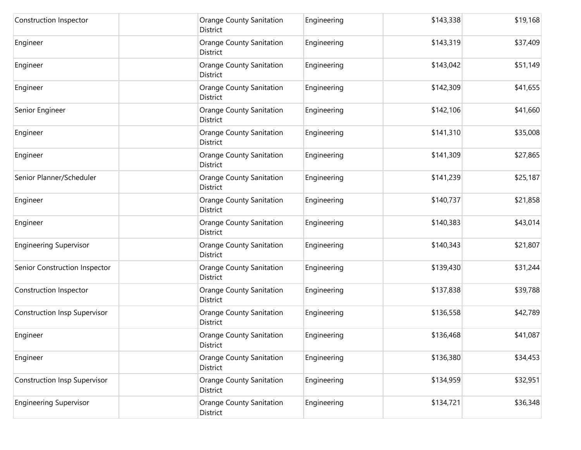| Construction Inspector              | <b>Orange County Sanitation</b><br>District | Engineering | \$143,338 | \$19,168 |
|-------------------------------------|---------------------------------------------|-------------|-----------|----------|
| Engineer                            | <b>Orange County Sanitation</b><br>District | Engineering | \$143,319 | \$37,409 |
| Engineer                            | <b>Orange County Sanitation</b><br>District | Engineering | \$143,042 | \$51,149 |
| Engineer                            | Orange County Sanitation<br>District        | Engineering | \$142,309 | \$41,655 |
| Senior Engineer                     | <b>Orange County Sanitation</b><br>District | Engineering | \$142,106 | \$41,660 |
| Engineer                            | <b>Orange County Sanitation</b><br>District | Engineering | \$141,310 | \$35,008 |
| Engineer                            | <b>Orange County Sanitation</b><br>District | Engineering | \$141,309 | \$27,865 |
| Senior Planner/Scheduler            | <b>Orange County Sanitation</b><br>District | Engineering | \$141,239 | \$25,187 |
| Engineer                            | <b>Orange County Sanitation</b><br>District | Engineering | \$140,737 | \$21,858 |
| Engineer                            | <b>Orange County Sanitation</b><br>District | Engineering | \$140,383 | \$43,014 |
| <b>Engineering Supervisor</b>       | <b>Orange County Sanitation</b><br>District | Engineering | \$140,343 | \$21,807 |
| Senior Construction Inspector       | <b>Orange County Sanitation</b><br>District | Engineering | \$139,430 | \$31,244 |
| Construction Inspector              | <b>Orange County Sanitation</b><br>District | Engineering | \$137,838 | \$39,788 |
| <b>Construction Insp Supervisor</b> | <b>Orange County Sanitation</b><br>District | Engineering | \$136,558 | \$42,789 |
| Engineer                            | <b>Orange County Sanitation</b><br>District | Engineering | \$136,468 | \$41,087 |
| Engineer                            | <b>Orange County Sanitation</b><br>District | Engineering | \$136,380 | \$34,453 |
| <b>Construction Insp Supervisor</b> | <b>Orange County Sanitation</b><br>District | Engineering | \$134,959 | \$32,951 |
| <b>Engineering Supervisor</b>       | <b>Orange County Sanitation</b><br>District | Engineering | \$134,721 | \$36,348 |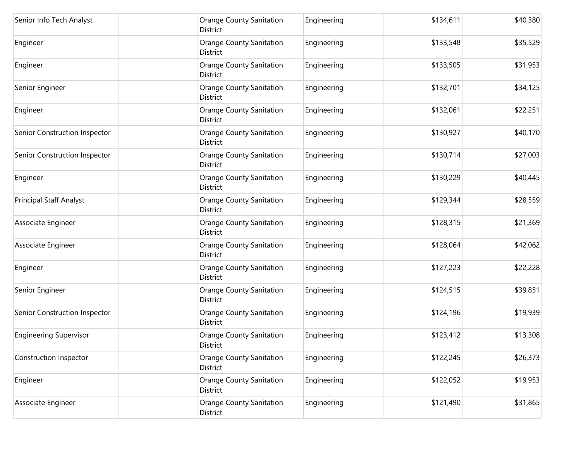| Senior Info Tech Analyst       | <b>Orange County Sanitation</b><br>District | Engineering | \$134,611 | \$40,380 |
|--------------------------------|---------------------------------------------|-------------|-----------|----------|
| Engineer                       | Orange County Sanitation<br>District        | Engineering | \$133,548 | \$35,529 |
| Engineer                       | <b>Orange County Sanitation</b><br>District | Engineering | \$133,505 | \$31,953 |
| Senior Engineer                | <b>Orange County Sanitation</b><br>District | Engineering | \$132,701 | \$34,125 |
| Engineer                       | <b>Orange County Sanitation</b><br>District | Engineering | \$132,061 | \$22,251 |
| Senior Construction Inspector  | <b>Orange County Sanitation</b><br>District | Engineering | \$130,927 | \$40,170 |
| Senior Construction Inspector  | <b>Orange County Sanitation</b><br>District | Engineering | \$130,714 | \$27,003 |
| Engineer                       | <b>Orange County Sanitation</b><br>District | Engineering | \$130,229 | \$40,445 |
| <b>Principal Staff Analyst</b> | <b>Orange County Sanitation</b><br>District | Engineering | \$129,344 | \$28,559 |
| Associate Engineer             | <b>Orange County Sanitation</b><br>District | Engineering | \$128,315 | \$21,369 |
| Associate Engineer             | <b>Orange County Sanitation</b><br>District | Engineering | \$128,064 | \$42,062 |
| Engineer                       | Orange County Sanitation<br>District        | Engineering | \$127,223 | \$22,228 |
| Senior Engineer                | <b>Orange County Sanitation</b><br>District | Engineering | \$124,515 | \$39,851 |
| Senior Construction Inspector  | <b>Orange County Sanitation</b><br>District | Engineering | \$124,196 | \$19,939 |
| <b>Engineering Supervisor</b>  | <b>Orange County Sanitation</b><br>District | Engineering | \$123,412 | \$13,308 |
| Construction Inspector         | <b>Orange County Sanitation</b><br>District | Engineering | \$122,245 | \$26,373 |
| Engineer                       | <b>Orange County Sanitation</b><br>District | Engineering | \$122,052 | \$19,953 |
| Associate Engineer             | <b>Orange County Sanitation</b><br>District | Engineering | \$121,490 | \$31,865 |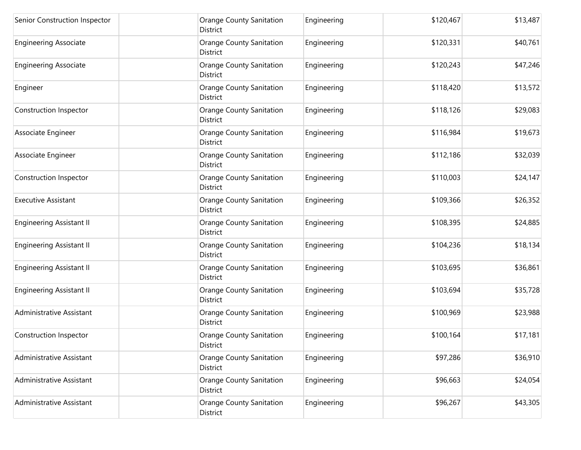| Senior Construction Inspector   | <b>Orange County Sanitation</b><br>District        | Engineering | \$120,467 | \$13,487 |
|---------------------------------|----------------------------------------------------|-------------|-----------|----------|
| <b>Engineering Associate</b>    | <b>Orange County Sanitation</b><br>District        | Engineering | \$120,331 | \$40,761 |
| <b>Engineering Associate</b>    | <b>Orange County Sanitation</b><br>District        | Engineering | \$120,243 | \$47,246 |
| Engineer                        | <b>Orange County Sanitation</b><br>District        | Engineering | \$118,420 | \$13,572 |
| Construction Inspector          | <b>Orange County Sanitation</b><br>District        | Engineering | \$118,126 | \$29,083 |
| Associate Engineer              | <b>Orange County Sanitation</b><br>District        | Engineering | \$116,984 | \$19,673 |
| Associate Engineer              | <b>Orange County Sanitation</b><br>District        | Engineering | \$112,186 | \$32,039 |
| Construction Inspector          | <b>Orange County Sanitation</b><br>District        | Engineering | \$110,003 | \$24,147 |
| <b>Executive Assistant</b>      | <b>Orange County Sanitation</b><br>District        | Engineering | \$109,366 | \$26,352 |
| <b>Engineering Assistant II</b> | <b>Orange County Sanitation</b><br>District        | Engineering | \$108,395 | \$24,885 |
| <b>Engineering Assistant II</b> | <b>Orange County Sanitation</b><br>District        | Engineering | \$104,236 | \$18,134 |
| <b>Engineering Assistant II</b> | <b>Orange County Sanitation</b><br>District        | Engineering | \$103,695 | \$36,861 |
| <b>Engineering Assistant II</b> | <b>Orange County Sanitation</b><br>District        | Engineering | \$103,694 | \$35,728 |
| Administrative Assistant        | <b>Orange County Sanitation</b><br>District        | Engineering | \$100,969 | \$23,988 |
| Construction Inspector          | <b>Orange County Sanitation</b><br>District        | Engineering | \$100,164 | \$17,181 |
| Administrative Assistant        | <b>Orange County Sanitation</b><br>District        | Engineering | \$97,286  | \$36,910 |
| Administrative Assistant        | <b>Orange County Sanitation</b><br><b>District</b> | Engineering | \$96,663  | \$24,054 |
| Administrative Assistant        | <b>Orange County Sanitation</b><br>District        | Engineering | \$96,267  | \$43,305 |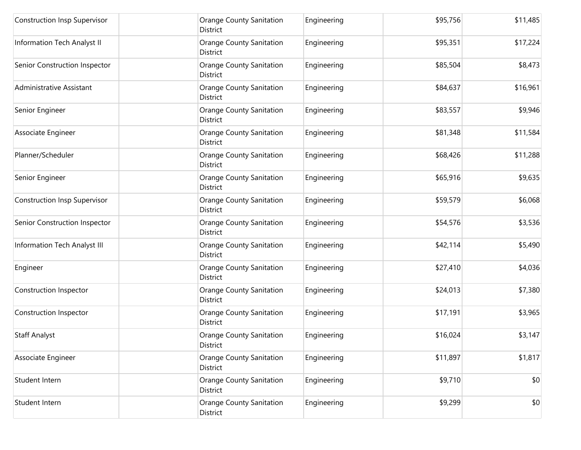| <b>Construction Insp Supervisor</b> | <b>Orange County Sanitation</b><br>District        | Engineering | \$95,756 | \$11,485 |
|-------------------------------------|----------------------------------------------------|-------------|----------|----------|
| Information Tech Analyst II         | Orange County Sanitation<br>District               | Engineering | \$95,351 | \$17,224 |
| Senior Construction Inspector       | <b>Orange County Sanitation</b><br>District        | Engineering | \$85,504 | \$8,473  |
| Administrative Assistant            | <b>Orange County Sanitation</b><br>District        | Engineering | \$84,637 | \$16,961 |
| Senior Engineer                     | <b>Orange County Sanitation</b><br>District        | Engineering | \$83,557 | \$9,946  |
| Associate Engineer                  | <b>Orange County Sanitation</b><br>District        | Engineering | \$81,348 | \$11,584 |
| Planner/Scheduler                   | <b>Orange County Sanitation</b><br><b>District</b> | Engineering | \$68,426 | \$11,288 |
| Senior Engineer                     | <b>Orange County Sanitation</b><br>District        | Engineering | \$65,916 | \$9,635  |
| <b>Construction Insp Supervisor</b> | <b>Orange County Sanitation</b><br>District        | Engineering | \$59,579 | \$6,068  |
| Senior Construction Inspector       | <b>Orange County Sanitation</b><br>District        | Engineering | \$54,576 | \$3,536  |
| Information Tech Analyst III        | <b>Orange County Sanitation</b><br>District        | Engineering | \$42,114 | \$5,490  |
| Engineer                            | <b>Orange County Sanitation</b><br>District        | Engineering | \$27,410 | \$4,036  |
| Construction Inspector              | <b>Orange County Sanitation</b><br>District        | Engineering | \$24,013 | \$7,380  |
| Construction Inspector              | <b>Orange County Sanitation</b><br>District        | Engineering | \$17,191 | \$3,965  |
| <b>Staff Analyst</b>                | <b>Orange County Sanitation</b><br>District        | Engineering | \$16,024 | \$3,147  |
| Associate Engineer                  | <b>Orange County Sanitation</b><br>District        | Engineering | \$11,897 | \$1,817  |
| Student Intern                      | <b>Orange County Sanitation</b><br>District        | Engineering | \$9,710  | \$0      |
| Student Intern                      | <b>Orange County Sanitation</b><br>District        | Engineering | \$9,299  | \$0      |